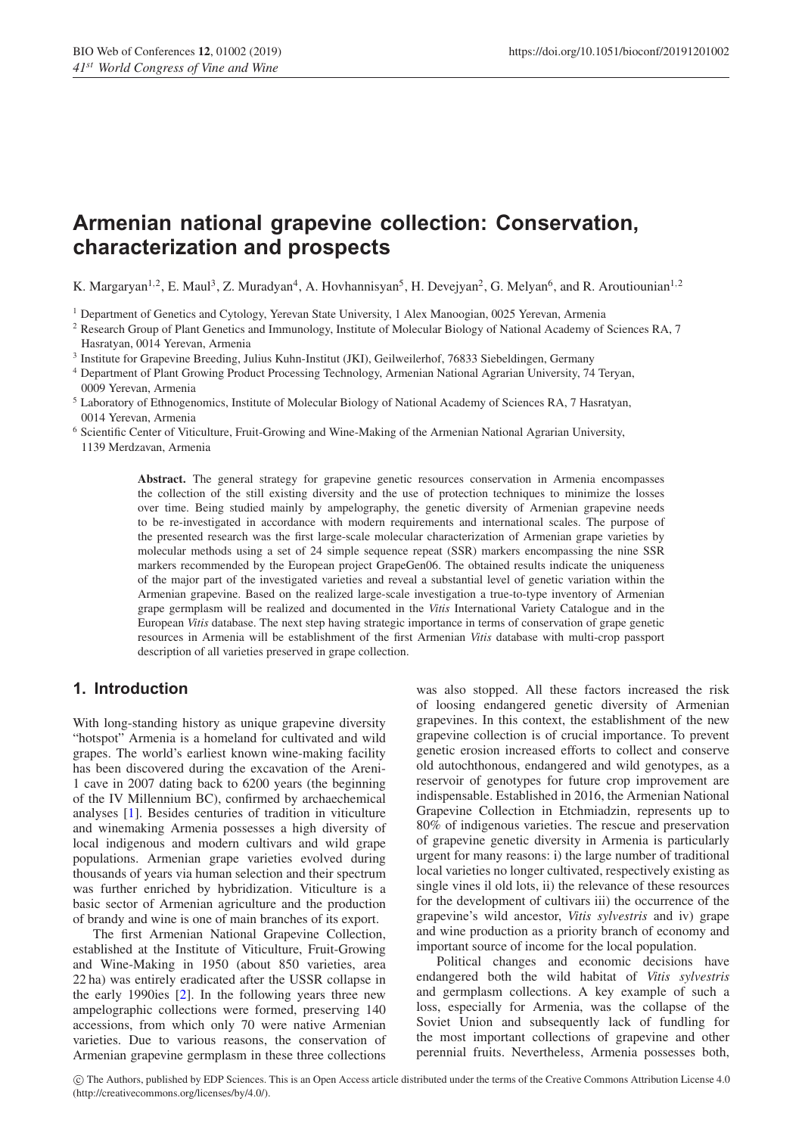# **Armenian national grapevine collection: Conservation, characterization and prospects**

K. Margaryan<sup>1,2</sup>, E. Maul<sup>3</sup>, Z. Muradyan<sup>4</sup>, A. Hovhannisyan<sup>5</sup>, H. Devejyan<sup>2</sup>, G. Melyan<sup>6</sup>, and R. Aroutiounian<sup>1,2</sup>

<sup>1</sup> Department of Genetics and Cytology, Yerevan State University, 1 Alex Manoogian, 0025 Yerevan, Armenia

<sup>2</sup> Research Group of Plant Genetics and Immunology, Institute of Molecular Biology of National Academy of Sciences RA, 7 Hasratyan, 0014 Yerevan, Armenia

<sup>3</sup> Institute for Grapevine Breeding, Julius Kuhn-Institut (JKI), Geilweilerhof, 76833 Siebeldingen, Germany

<sup>4</sup> Department of Plant Growing Product Processing Technology, Armenian National Agrarian University, 74 Teryan, 0009 Yerevan, Armenia

<sup>5</sup> Laboratory of Ethnogenomics, Institute of Molecular Biology of National Academy of Sciences RA, 7 Hasratyan, 0014 Yerevan, Armenia

<sup>6</sup> Scientific Center of Viticulture, Fruit-Growing and Wine-Making of the Armenian National Agrarian University, 1139 Merdzavan, Armenia

> **Abstract.** The general strategy for grapevine genetic resources conservation in Armenia encompasses the collection of the still existing diversity and the use of protection techniques to minimize the losses over time. Being studied mainly by ampelography, the genetic diversity of Armenian grapevine needs to be re-investigated in accordance with modern requirements and international scales. The purpose of the presented research was the first large-scale molecular characterization of Armenian grape varieties by molecular methods using a set of 24 simple sequence repeat (SSR) markers encompassing the nine SSR markers recommended by the European project GrapeGen06. The obtained results indicate the uniqueness of the major part of the investigated varieties and reveal a substantial level of genetic variation within the Armenian grapevine. Based on the realized large-scale investigation a true-to-type inventory of Armenian grape germplasm will be realized and documented in the *Vitis* International Variety Catalogue and in the European *Vitis* database. The next step having strategic importance in terms of conservation of grape genetic resources in Armenia will be establishment of the first Armenian *Vitis* database with multi-crop passport description of all varieties preserved in grape collection.

## **1. Introduction**

With long-standing history as unique grapevine diversity "hotspot" Armenia is a homeland for cultivated and wild grapes. The world's earliest known wine-making facility has been discovered during the excavation of the Areni-1 cave in 2007 dating back to 6200 years (the beginning of the IV Millennium BC), confirmed by archaechemical analyses [\[1\]](#page-4-0). Besides centuries of tradition in viticulture and winemaking Armenia possesses a high diversity of local indigenous and modern cultivars and wild grape populations. Armenian grape varieties evolved during thousands of years via human selection and their spectrum was further enriched by hybridization. Viticulture is a basic sector of Armenian agriculture and the production of brandy and wine is one of main branches of its export.

The first Armenian National Grapevine Collection, established at the Institute of Viticulture, Fruit-Growing and Wine-Making in 1950 (about 850 varieties, area 22 ha) was entirely eradicated after the USSR collapse in the early 1990ies [\[2](#page-4-1)]. In the following years three new ampelographic collections were formed, preserving 140 accessions, from which only 70 were native Armenian varieties. Due to various reasons, the conservation of Armenian grapevine germplasm in these three collections

was also stopped. All these factors increased the risk of loosing endangered genetic diversity of Armenian grapevines. In this context, the establishment of the new grapevine collection is of crucial importance. To prevent genetic erosion increased efforts to collect and conserve old autochthonous, endangered and wild genotypes, as a reservoir of genotypes for future crop improvement are indispensable. Established in 2016, the Armenian National Grapevine Collection in Etchmiadzin, represents up to 80% of indigenous varieties. The rescue and preservation of grapevine genetic diversity in Armenia is particularly urgent for many reasons: i) the large number of traditional local varieties no longer cultivated, respectively existing as single vines il old lots, ii) the relevance of these resources for the development of cultivars iii) the occurrence of the grapevine's wild ancestor, *Vitis sylvestris* and iv) grape and wine production as a priority branch of economy and important source of income for the local population.

Political changes and economic decisions have endangered both the wild habitat of *Vitis sylvestris* and germplasm collections. A key example of such a loss, especially for Armenia, was the collapse of the Soviet Union and subsequently lack of fundling for the most important collections of grapevine and other perennial fruits. Nevertheless, Armenia possesses both,

c The Authors, published by EDP Sciences. This is an Open Access article distributed under the terms of the Creative Commons Attribution License 4.0 (http://creativecommons.org/licenses/by/4.0/).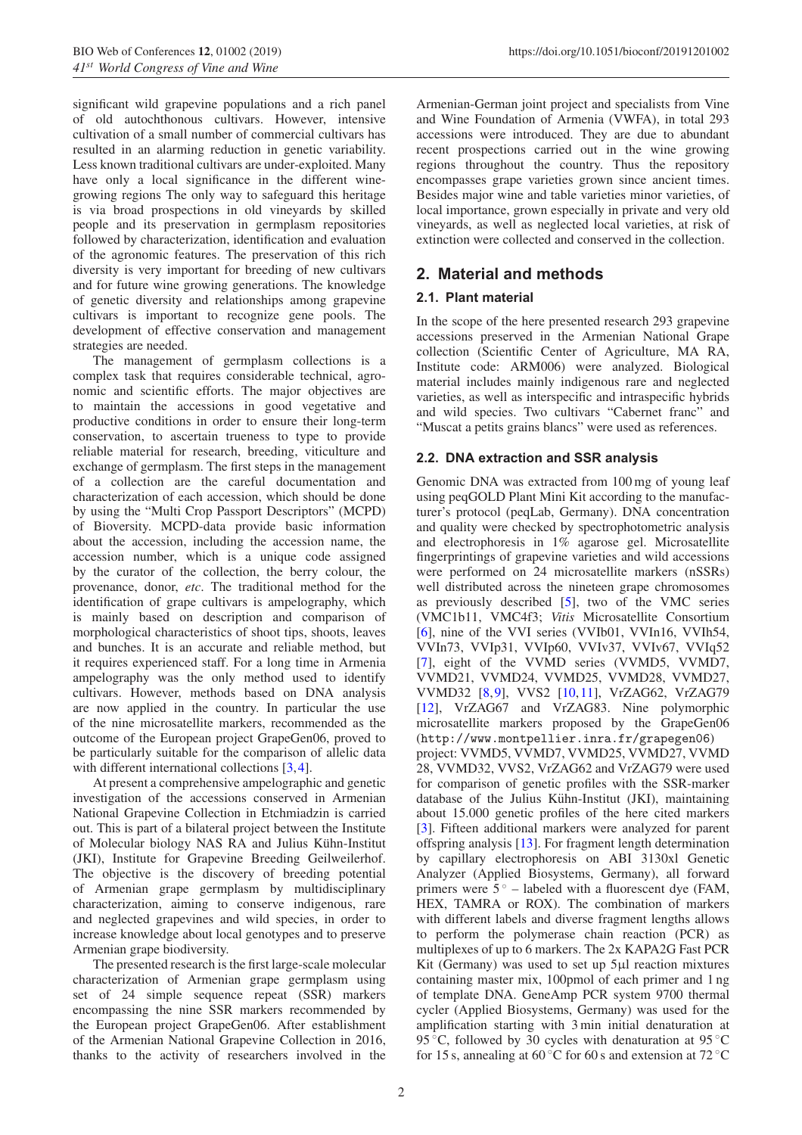significant wild grapevine populations and a rich panel of old autochthonous cultivars. However, intensive cultivation of a small number of commercial cultivars has resulted in an alarming reduction in genetic variability. Less known traditional cultivars are under-exploited. Many have only a local significance in the different winegrowing regions The only way to safeguard this heritage is via broad prospections in old vineyards by skilled people and its preservation in germplasm repositories followed by characterization, identification and evaluation of the agronomic features. The preservation of this rich diversity is very important for breeding of new cultivars and for future wine growing generations. The knowledge of genetic diversity and relationships among grapevine cultivars is important to recognize gene pools. The development of effective conservation and management strategies are needed.

The management of germplasm collections is a complex task that requires considerable technical, agronomic and scientific efforts. The major objectives are to maintain the accessions in good vegetative and productive conditions in order to ensure their long-term conservation, to ascertain trueness to type to provide reliable material for research, breeding, viticulture and exchange of germplasm. The first steps in the management of a collection are the careful documentation and characterization of each accession, which should be done by using the "Multi Crop Passport Descriptors" (MCPD) of Bioversity. MCPD-data provide basic information about the accession, including the accession name, the accession number, which is a unique code assigned by the curator of the collection, the berry colour, the provenance, donor, *etc*. The traditional method for the identification of grape cultivars is ampelography, which is mainly based on description and comparison of morphological characteristics of shoot tips, shoots, leaves and bunches. It is an accurate and reliable method, but it requires experienced staff. For a long time in Armenia ampelography was the only method used to identify cultivars. However, methods based on DNA analysis are now applied in the country. In particular the use of the nine microsatellite markers, recommended as the outcome of the European project GrapeGen06, proved to be particularly suitable for the comparison of allelic data with different international collections [\[3,](#page-4-2)[4](#page-4-3)].

At present a comprehensive ampelographic and genetic investigation of the accessions conserved in Armenian National Grapevine Collection in Etchmiadzin is carried out. This is part of a bilateral project between the Institute of Molecular biology NAS RA and Julius Kühn-Institut (JKI), Institute for Grapevine Breeding Geilweilerhof. The objective is the discovery of breeding potential of Armenian grape germplasm by multidisciplinary characterization, aiming to conserve indigenous, rare and neglected grapevines and wild species, in order to increase knowledge about local genotypes and to preserve Armenian grape biodiversity.

The presented research is the first large-scale molecular characterization of Armenian grape germplasm using set of 24 simple sequence repeat (SSR) markers encompassing the nine SSR markers recommended by the European project GrapeGen06. After establishment of the Armenian National Grapevine Collection in 2016, thanks to the activity of researchers involved in the Armenian-German joint project and specialists from Vine and Wine Foundation of Armenia (VWFA), in total 293 accessions were introduced. They are due to abundant recent prospections carried out in the wine growing regions throughout the country. Thus the repository encompasses grape varieties grown since ancient times. Besides major wine and table varieties minor varieties, of local importance, grown especially in private and very old vineyards, as well as neglected local varieties, at risk of extinction were collected and conserved in the collection.

# **2. Material and methods**

#### **2.1. Plant material**

In the scope of the here presented research 293 grapevine accessions preserved in the Armenian National Grape collection (Scientific Center of Agriculture, MA RA, Institute code: ARM006) were analyzed. Biological material includes mainly indigenous rare and neglected varieties, as well as interspecific and intraspecific hybrids and wild species. Two cultivars "Cabernet franc" and "Muscat a petits grains blancs" were used as references.

#### **2.2. DNA extraction and SSR analysis**

Genomic DNA was extracted from 100 mg of young leaf using peqGOLD Plant Mini Kit according to the manufacturer's protocol (peqLab, Germany). DNA concentration and quality were checked by spectrophotometric analysis and electrophoresis in 1% agarose gel. Microsatellite fingerprintings of grapevine varieties and wild accessions were performed on 24 microsatellite markers (nSSRs) well distributed across the nineteen grape chromosomes as previously described [\[5](#page-4-4)], two of the VMC series (VMC1b11, VMC4f3; *Vitis* Microsatellite Consortium [\[6](#page-4-5)], nine of the VVI series (VVIb01, VVIn16, VVIh54, VVIn73, VVIp31, VVIp60, VVIv37, VVIv67, VVIq52 [\[7](#page-4-6)], eight of the VVMD series (VVMD5, VVMD7, VVMD21, VVMD24, VVMD25, VVMD28, VVMD27, VVMD32 [\[8](#page-4-7),[9\]](#page-4-8), VVS2 [\[10](#page-4-9),[11\]](#page-4-10), VrZAG62, VrZAG79 [\[12](#page-4-11)], VrZAG67 and VrZAG83. Nine polymorphic microsatellite markers proposed by the GrapeGen06 (http://www.montpellier.inra.fr/grapegen06) project: VVMD5, VVMD7, VVMD25, VVMD27, VVMD 28, VVMD32, VVS2, VrZAG62 and VrZAG79 were used for comparison of genetic profiles with the SSR-marker database of the Julius Kühn-Institut (JKI), maintaining about 15.000 genetic profiles of the here cited markers [\[3](#page-4-2)]. Fifteen additional markers were analyzed for parent offspring analysis [\[13\]](#page-4-12). For fragment length determination by capillary electrophoresis on ABI 3130xl Genetic Analyzer (Applied Biosystems, Germany), all forward primers were  $5^\circ$  – labeled with a fluorescent dye (FAM, HEX, TAMRA or ROX). The combination of markers with different labels and diverse fragment lengths allows to perform the polymerase chain reaction (PCR) as multiplexes of up to 6 markers. The 2x KAPA2G Fast PCR Kit (Germany) was used to set up 5µl reaction mixtures containing master mix, 100pmol of each primer and 1 ng of template DNA. GeneAmp PCR system 9700 thermal cycler (Applied Biosystems, Germany) was used for the amplification starting with 3 min initial denaturation at 95 °C, followed by 30 cycles with denaturation at  $95^{\circ}$ C for 15 s, annealing at 60 °C for 60 s and extension at 72 °C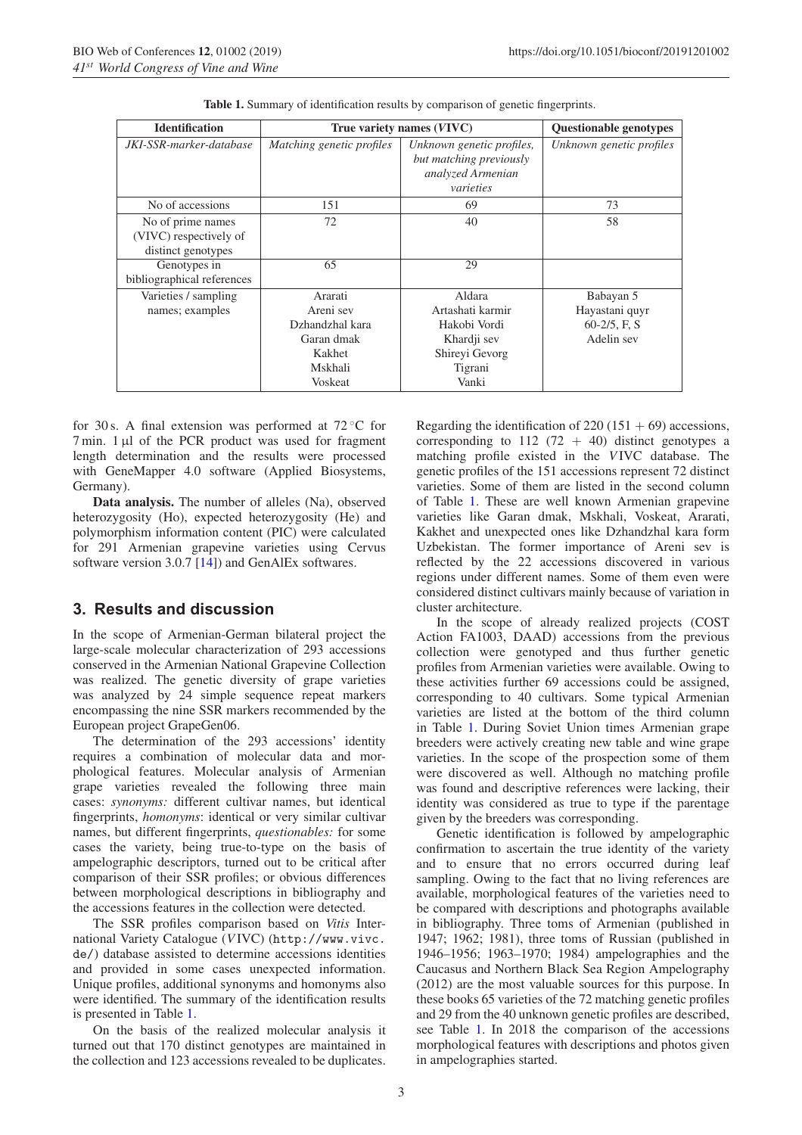<span id="page-2-0"></span>

| <b>Identification</b>                                             | True variety names (VIVC)                                                             | <b>Ouestionable genotypes</b>                                                                   |                                                              |
|-------------------------------------------------------------------|---------------------------------------------------------------------------------------|-------------------------------------------------------------------------------------------------|--------------------------------------------------------------|
| JKI-SSR-marker-database                                           | Matching genetic profiles                                                             | Unknown genetic profiles,<br>but matching previously<br>analyzed Armenian<br>varieties          | Unknown genetic profiles                                     |
| No of accessions                                                  | 151                                                                                   | 69                                                                                              | 73                                                           |
| No of prime names<br>(VIVC) respectively of<br>distinct genotypes | 72                                                                                    | 40                                                                                              | 58                                                           |
| Genotypes in<br>bibliographical references                        | 65                                                                                    | 29                                                                                              |                                                              |
| Varieties / sampling<br>names; examples                           | Ararati<br>Areni sev<br>Dzhandzhal kara<br>Garan dmak<br>Kakhet<br>Mskhali<br>Voskeat | Aldara<br>Artashati karmir<br>Hakobi Vordi<br>Khardji sev<br>Shireyi Gevorg<br>Tigrani<br>Vanki | Babayan 5<br>Hayastani quyr<br>$60-2/5$ , F, S<br>Adelin sev |

**Table 1.** Summary of identification results by comparison of genetic fingerprints.

for 30 s. A final extension was performed at  $72^{\circ}$ C for  $7 \text{ min. } 1 \mu l$  of the PCR product was used for fragment length determination and the results were processed with GeneMapper 4.0 software (Applied Biosystems, Germany).

**Data analysis.** The number of alleles (Na), observed heterozygosity (Ho), expected heterozygosity (He) and polymorphism information content (PIC) were calculated for 291 Armenian grapevine varieties using Cervus software version 3.0.7 [\[14](#page-4-13)]) and GenAlEx softwares.

#### **3. Results and discussion**

In the scope of Armenian-German bilateral project the large-scale molecular characterization of 293 accessions conserved in the Armenian National Grapevine Collection was realized. The genetic diversity of grape varieties was analyzed by 24 simple sequence repeat markers encompassing the nine SSR markers recommended by the European project GrapeGen06.

The determination of the 293 accessions' identity requires a combination of molecular data and morphological features. Molecular analysis of Armenian grape varieties revealed the following three main cases: *synonyms:* different cultivar names, but identical fingerprints, *homonyms*: identical or very similar cultivar names, but different fingerprints, *questionables:* for some cases the variety, being true-to-type on the basis of ampelographic descriptors, turned out to be critical after comparison of their SSR profiles; or obvious differences between morphological descriptions in bibliography and the accessions features in the collection were detected.

The SSR profiles comparison based on *Vitis* International Variety Catalogue (*V*IVC) (http://www.vivc. de/) database assisted to determine accessions identities and provided in some cases unexpected information. Unique profiles, additional synonyms and homonyms also were identified. The summary of the identification results is presented in Table [1.](#page-2-0)

On the basis of the realized molecular analysis it turned out that 170 distinct genotypes are maintained in the collection and 123 accessions revealed to be duplicates. Regarding the identification of  $220(151 + 69)$  accessions, corresponding to 112 (72 + 40) distinct genotypes a matching profile existed in the *V*IVC database. The genetic profiles of the 151 accessions represent 72 distinct varieties. Some of them are listed in the second column of Table [1.](#page-2-0) These are well known Armenian grapevine varieties like Garan dmak, Mskhali, Voskeat, Ararati, Kakhet and unexpected ones like Dzhandzhal kara form Uzbekistan. The former importance of Areni sev is reflected by the 22 accessions discovered in various regions under different names. Some of them even were considered distinct cultivars mainly because of variation in cluster architecture.

In the scope of already realized projects (COST Action FA1003, DAAD) accessions from the previous collection were genotyped and thus further genetic profiles from Armenian varieties were available. Owing to these activities further 69 accessions could be assigned, corresponding to 40 cultivars. Some typical Armenian varieties are listed at the bottom of the third column in Table [1.](#page-2-0) During Soviet Union times Armenian grape breeders were actively creating new table and wine grape varieties. In the scope of the prospection some of them were discovered as well. Although no matching profile was found and descriptive references were lacking, their identity was considered as true to type if the parentage given by the breeders was corresponding.

Genetic identification is followed by ampelographic confirmation to ascertain the true identity of the variety and to ensure that no errors occurred during leaf sampling. Owing to the fact that no living references are available, morphological features of the varieties need to be compared with descriptions and photographs available in bibliography. Three toms of Armenian (published in 1947; 1962; 1981), three toms of Russian (published in 1946–1956; 1963–1970; 1984) ampelographies and the Caucasus and Northern Black Sea Region Ampelography (2012) are the most valuable sources for this purpose. In these books 65 varieties of the 72 matching genetic profiles and 29 from the 40 unknown genetic profiles are described, see Table [1.](#page-2-0) In 2018 the comparison of the accessions morphological features with descriptions and photos given in ampelographies started.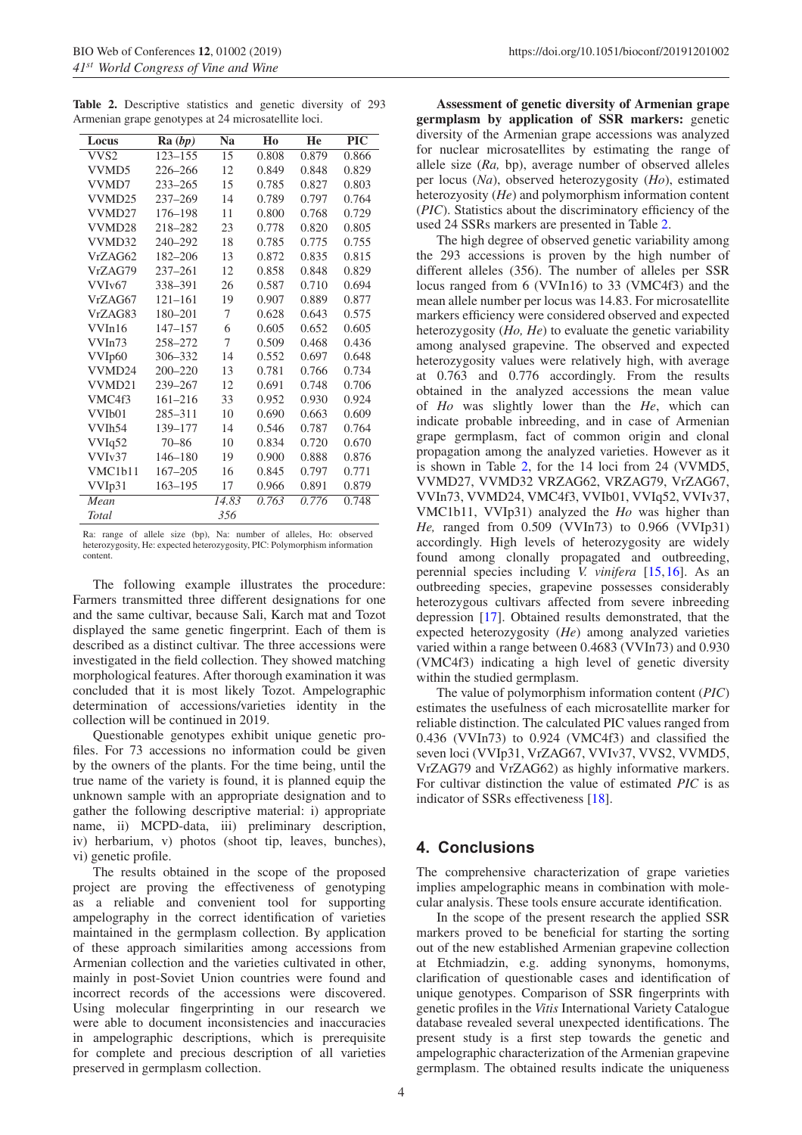<span id="page-3-0"></span>**Table 2.** Descriptive statistics and genetic diversity of 293 Armenian grape genotypes at 24 microsatellite loci.

| Locus                            | Ra (bp)     | Na    | Ho    | He    | <b>PIC</b> |
|----------------------------------|-------------|-------|-------|-------|------------|
|                                  |             |       |       |       |            |
| VVS <sub>2</sub>                 | 123-155     | 15    | 0.808 | 0.879 | 0.866      |
| VVMD5                            | 226-266     | 12    | 0.849 | 0.848 | 0.829      |
| VVMD7                            | $233 - 265$ | 15    | 0.785 | 0.827 | 0.803      |
| VVMD25                           | $237 - 269$ | 14    | 0.789 | 0.797 | 0.764      |
| VVMD27                           | 176-198     | 11    | 0.800 | 0.768 | 0.729      |
| VVMD <sub>28</sub>               | 218-282     | 23    | 0.778 | 0.820 | 0.805      |
| VVMD32                           | 240-292     | 18    | 0.785 | 0.775 | 0.755      |
| VrZAG62                          | 182-206     | 13    | 0.872 | 0.835 | 0.815      |
| VrZAG79                          | $237 - 261$ | 12    | 0.858 | 0.848 | 0.829      |
| VVI <sub>v</sub> 67              | 338-391     | 26    | 0.587 | 0.710 | 0.694      |
| VrZAG67                          | $121 - 161$ | 19    | 0.907 | 0.889 | 0.877      |
| VrZAG83                          | 180-201     | 7     | 0.628 | 0.643 | 0.575      |
| VVIn16                           | $147 - 157$ | 6     | 0.605 | 0.652 | 0.605      |
| VVIn73                           | 258-272     | 7     | 0.509 | 0.468 | 0.436      |
| VVIp60                           | 306-332     | 14    | 0.552 | 0.697 | 0.648      |
| VVMD24                           | $200 - 220$ | 13    | 0.781 | 0.766 | 0.734      |
| VVMD21                           | 239-267     | 12    | 0.691 | 0.748 | 0.706      |
| VMC4f3                           | 161-216     | 33    | 0.952 | 0.930 | 0.924      |
| VVI <sub>b</sub> 01              | 285-311     | 10    | 0.690 | 0.663 | 0.609      |
| VVIh54                           | 139-177     | 14    | 0.546 | 0.787 | 0.764      |
| VVIq52                           | $70 - 86$   | 10    | 0.834 | 0.720 | 0.670      |
| VVI <sub>v</sub> 37              | 146-180     | 19    | 0.900 | 0.888 | 0.876      |
| VMC <sub>1</sub> b <sub>11</sub> | $167 - 205$ | 16    | 0.845 | 0.797 | 0.771      |
| VVIp31                           | 163-195     | 17    | 0.966 | 0.891 | 0.879      |
| Mean                             |             | 14.83 | 0.763 | 0.776 | 0.748      |
| Total                            |             | 356   |       |       |            |

Ra: range of allele size (bp), Na: number of alleles, Ho: observed heterozygosity, He: expected heterozygosity, PIC: Polymorphism information content.

The following example illustrates the procedure: Farmers transmitted three different designations for one and the same cultivar, because Sali, Karch mat and Tozot displayed the same genetic fingerprint. Each of them is described as a distinct cultivar. The three accessions were investigated in the field collection. They showed matching morphological features. After thorough examination it was concluded that it is most likely Tozot. Ampelographic determination of accessions/varieties identity in the collection will be continued in 2019.

Questionable genotypes exhibit unique genetic profiles. For 73 accessions no information could be given by the owners of the plants. For the time being, until the true name of the variety is found, it is planned equip the unknown sample with an appropriate designation and to gather the following descriptive material: i) appropriate name, ii) MCPD-data, iii) preliminary description, iv) herbarium, v) photos (shoot tip, leaves, bunches), vi) genetic profile.

The results obtained in the scope of the proposed project are proving the effectiveness of genotyping as a reliable and convenient tool for supporting ampelography in the correct identification of varieties maintained in the germplasm collection. By application of these approach similarities among accessions from Armenian collection and the varieties cultivated in other, mainly in post-Soviet Union countries were found and incorrect records of the accessions were discovered. Using molecular fingerprinting in our research we were able to document inconsistencies and inaccuracies in ampelographic descriptions, which is prerequisite for complete and precious description of all varieties preserved in germplasm collection.

**Assessment of genetic diversity of Armenian grape germplasm by application of SSR markers:** genetic diversity of the Armenian grape accessions was analyzed for nuclear microsatellites by estimating the range of allele size (*Ra,* bp), average number of observed alleles per locus (*Na*), observed heterozygosity (*Ho*), estimated heterozyosity (*He*) and polymorphism information content (*PIC*). Statistics about the discriminatory efficiency of the used 24 SSRs markers are presented in Table [2.](#page-3-0)

The high degree of observed genetic variability among the 293 accessions is proven by the high number of different alleles (356). The number of alleles per SSR locus ranged from 6 (VVIn16) to 33 (VMC4f3) and the mean allele number per locus was 14.83. For microsatellite markers efficiency were considered observed and expected heterozygosity (*Ho, He*) to evaluate the genetic variability among analysed grapevine. The observed and expected heterozygosity values were relatively high, with average at 0.763 and 0.776 accordingly. From the results obtained in the analyzed accessions the mean value of *Ho* was slightly lower than the *He*, which can indicate probable inbreeding, and in case of Armenian grape germplasm, fact of common origin and clonal propagation among the analyzed varieties. However as it is shown in Table [2,](#page-3-0) for the 14 loci from 24 (VVMD5, VVMD27, VVMD32 VRZAG62, VRZAG79, VrZAG67, VVIn73, VVMD24, VMC4f3, VVIb01, VVIq52, VVIv37, VMC1b11, VVIp31) analyzed the *Ho* was higher than *He,* ranged from 0.509 (VVIn73) to 0.966 (VVIp31) accordingly. High levels of heterozygosity are widely found among clonally propagated and outbreeding, perennial species including *V. vinifera* [\[15](#page-4-14)[,16](#page-4-15)]. As an outbreeding species, grapevine possesses considerably heterozygous cultivars affected from severe inbreeding depression [\[17\]](#page-4-16). Obtained results demonstrated, that the expected heterozygosity (*He*) among analyzed varieties varied within a range between 0.4683 (VVIn73) and 0.930 (VMC4f3) indicating a high level of genetic diversity within the studied germplasm.

The value of polymorphism information content (*PIC*) estimates the usefulness of each microsatellite marker for reliable distinction. The calculated PIC values ranged from 0.436 (VVIn73) to 0.924 (VMC4f3) and classified the seven loci (VVIp31, VrZAG67, VVIv37, VVS2, VVMD5, VrZAG79 and VrZAG62) as highly informative markers. For cultivar distinction the value of estimated *PIC* is as indicator of SSRs effectiveness [\[18\]](#page-4-17).

## **4. Conclusions**

The comprehensive characterization of grape varieties implies ampelographic means in combination with molecular analysis. These tools ensure accurate identification.

In the scope of the present research the applied SSR markers proved to be beneficial for starting the sorting out of the new established Armenian grapevine collection at Etchmiadzin, e.g. adding synonyms, homonyms, clarification of questionable cases and identification of unique genotypes. Comparison of SSR fingerprints with genetic profiles in the *Vitis* International Variety Catalogue database revealed several unexpected identifications. The present study is a first step towards the genetic and ampelographic characterization of the Armenian grapevine germplasm. The obtained results indicate the uniqueness